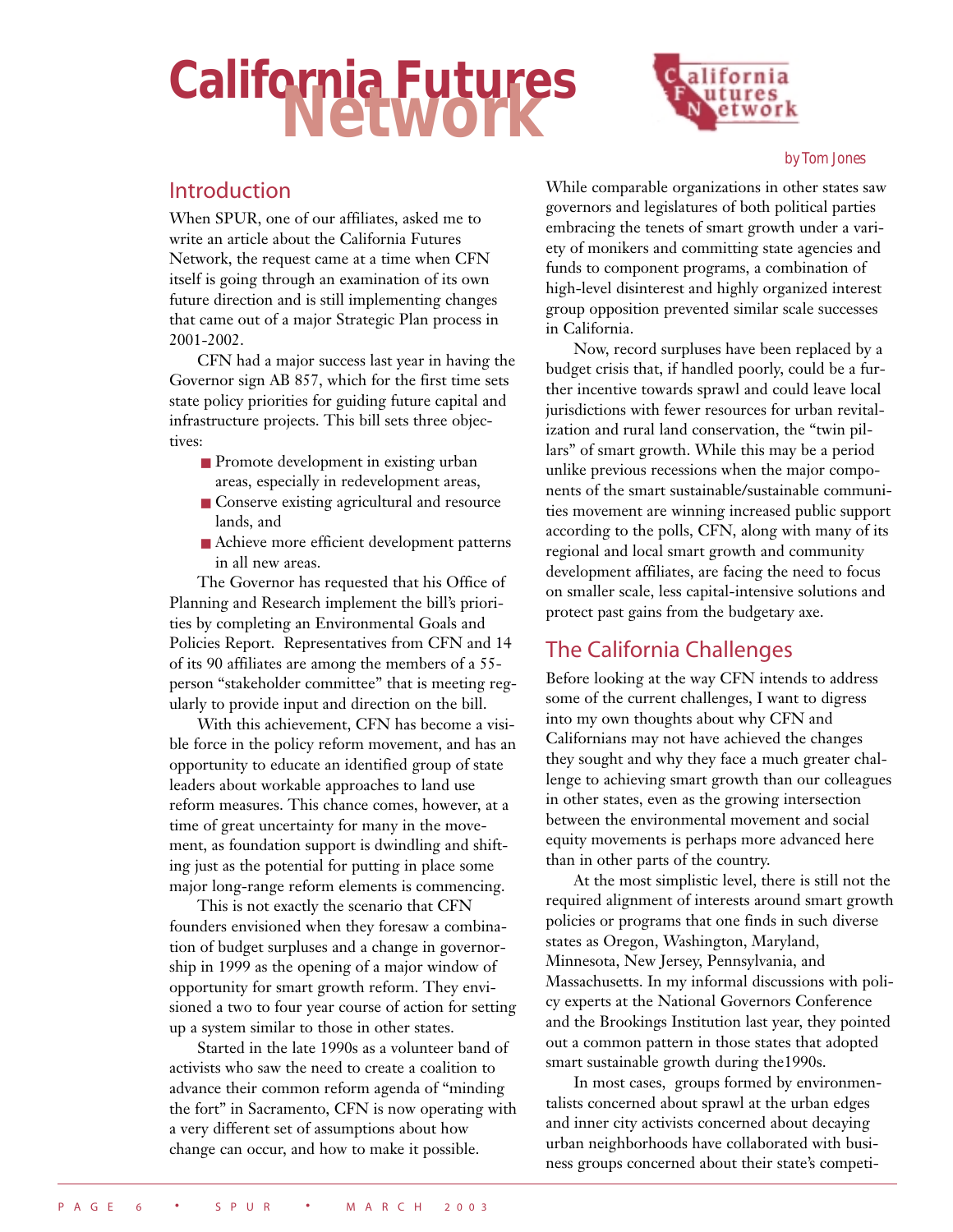# **California Futures Network**



#### *by Tom Jones*

## Introduction

When SPUR, one of our affiliates, asked me to write an article about the California Futures Network, the request came at a time when CFN itself is going through an examination of its own future direction and is still implementing changes that came out of a major Strategic Plan process in 2001-2002.

CFN had a major success last year in having the Governor sign AB 857, which for the first time sets state policy priorities for guiding future capital and infrastructure projects. This bill sets three objectives:

- Promote development in existing urban areas, especially in redevelopment areas,
- Conserve existing agricultural and resource lands, and
- Achieve more efficient development patterns in all new areas.

The Governor has requested that his Office of Planning and Research implement the bill's priorities by completing an Environmental Goals and Policies Report. Representatives from CFN and 14 of its 90 affiliates are among the members of a 55 person "stakeholder committee" that is meeting regularly to provide input and direction on the bill.

With this achievement, CFN has become a visible force in the policy reform movement, and has an opportunity to educate an identified group of state leaders about workable approaches to land use reform measures. This chance comes, however, at a time of great uncertainty for many in the movement, as foundation support is dwindling and shifting just as the potential for putting in place some major long-range reform elements is commencing.

This is not exactly the scenario that CFN founders envisioned when they foresaw a combination of budget surpluses and a change in governorship in 1999 as the opening of a major window of opportunity for smart growth reform. They envisioned a two to four year course of action for setting up a system similar to those in other states.

Started in the late 1990s as a volunteer band of activists who saw the need to create a coalition to advance their common reform agenda of "minding the fort" in Sacramento, CFN is now operating with a very different set of assumptions about how change can occur, and how to make it possible.

While comparable organizations in other states saw governors and legislatures of both political parties embracing the tenets of smart growth under a variety of monikers and committing state agencies and funds to component programs, a combination of high-level disinterest and highly organized interest group opposition prevented similar scale successes in California.

Now, record surpluses have been replaced by a budget crisis that, if handled poorly, could be a further incentive towards sprawl and could leave local jurisdictions with fewer resources for urban revitalization and rural land conservation, the "twin pillars" of smart growth. While this may be a period unlike previous recessions when the major components of the smart sustainable/sustainable communities movement are winning increased public support according to the polls, CFN, along with many of its regional and local smart growth and community development affiliates, are facing the need to focus on smaller scale, less capital-intensive solutions and protect past gains from the budgetary axe.

# The California Challenges

Before looking at the way CFN intends to address some of the current challenges, I want to digress into my own thoughts about why CFN and Californians may not have achieved the changes they sought and why they face a much greater challenge to achieving smart growth than our colleagues in other states, even as the growing intersection between the environmental movement and social equity movements is perhaps more advanced here than in other parts of the country.

At the most simplistic level, there is still not the required alignment of interests around smart growth policies or programs that one finds in such diverse states as Oregon, Washington, Maryland, Minnesota, New Jersey, Pennsylvania, and Massachusetts. In my informal discussions with policy experts at the National Governors Conference and the Brookings Institution last year, they pointed out a common pattern in those states that adopted smart sustainable growth during the1990s.

In most cases, groups formed by environmentalists concerned about sprawl at the urban edges and inner city activists concerned about decaying urban neighborhoods have collaborated with business groups concerned about their state's competi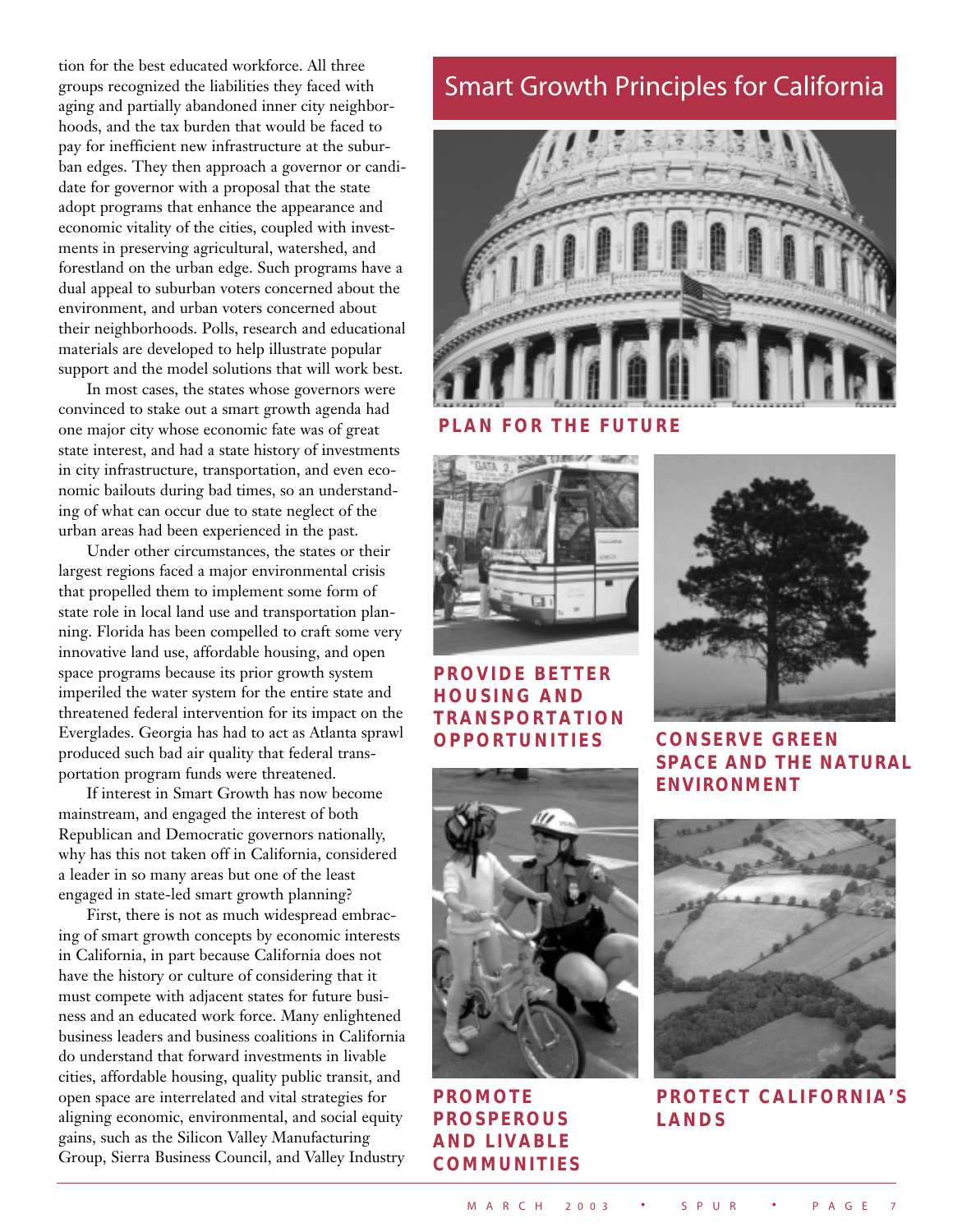tion for the best educated workforce. All three groups recognized the liabilities they faced with aging and partially abandoned inner city neighborhoods, and the tax burden that would be faced to pay for inefficient new infrastructure at the suburban edges. They then approach a governor or candidate for governor with a proposal that the state adopt programs that enhance the appearance and economic vitality of the cities, coupled with investments in preserving agricultural, watershed, and forestland on the urban edge. Such programs have a dual appeal to suburban voters concerned about the environment, and urban voters concerned about their neighborhoods. Polls, research and educational materials are developed to help illustrate popular support and the model solutions that will work best.

In most cases, the states whose governors were convinced to stake out a smart growth agenda had one major city whose economic fate was of great state interest, and had a state history of investments in city infrastructure, transportation, and even economic bailouts during bad times, so an understanding of what can occur due to state neglect of the urban areas had been experienced in the past.

Under other circumstances, the states or their largest regions faced a major environmental crisis that propelled them to implement some form of state role in local land use and transportation planning. Florida has been compelled to craft some very innovative land use, affordable housing, and open space programs because its prior growth system imperiled the water system for the entire state and threatened federal intervention for its impact on the Everglades. Georgia has had to act as Atlanta sprawl produced such bad air quality that federal transportation program funds were threatened.

If interest in Smart Growth has now become mainstream, and engaged the interest of both Republican and Democratic governors nationally, why has this not taken off in California, considered a leader in so many areas but one of the least engaged in state-led smart growth planning?

First, there is not as much widespread embracing of smart growth concepts by economic interests in California, in part because California does not have the history or culture of considering that it must compete with adjacent states for future business and an educated work force. Many enlightened business leaders and business coalitions in California do understand that forward investments in livable cities, affordable housing, quality public transit, and open space are interrelated and vital strategies for aligning economic, environmental, and social equity gains, such as the Silicon Valley Manufacturing Group, Sierra Business Council, and Valley Industry

# Smart Growth Principles for California



**PLAN FOR THE FUTURE** 



### **PROVIDE BETTER HOUSING AND TRANSPORTATION OPPORTUNITIES CONSERVE GREEN**

**PROMOTE PROSPEROUS AND LIVABLE COMMUNITIES** 



**SPACE AND THE NATURAL ENVIRONMENT** 



**PROTECT CALIFORNIA'S LANDS**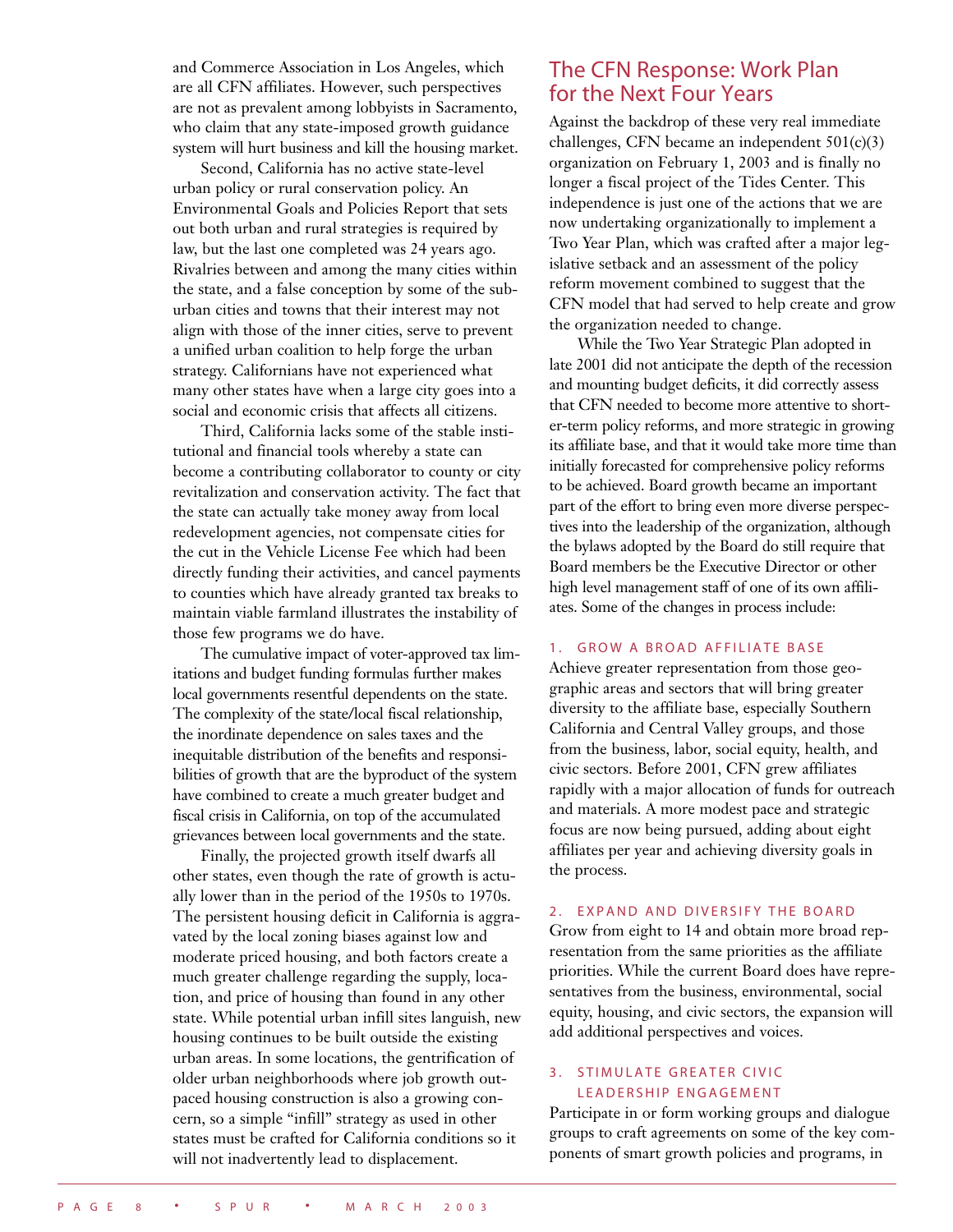and Commerce Association in Los Angeles, which are all CFN affiliates. However, such perspectives are not as prevalent among lobbyists in Sacramento, who claim that any state-imposed growth guidance system will hurt business and kill the housing market.

Second, California has no active state-level urban policy or rural conservation policy. An Environmental Goals and Policies Report that sets out both urban and rural strategies is required by law, but the last one completed was 24 years ago. Rivalries between and among the many cities within the state, and a false conception by some of the suburban cities and towns that their interest may not align with those of the inner cities, serve to prevent a unified urban coalition to help forge the urban strategy. Californians have not experienced what many other states have when a large city goes into a social and economic crisis that affects all citizens.

Third, California lacks some of the stable institutional and financial tools whereby a state can become a contributing collaborator to county or city revitalization and conservation activity. The fact that the state can actually take money away from local redevelopment agencies, not compensate cities for the cut in the Vehicle License Fee which had been directly funding their activities, and cancel payments to counties which have already granted tax breaks to maintain viable farmland illustrates the instability of those few programs we do have.

The cumulative impact of voter-approved tax limitations and budget funding formulas further makes local governments resentful dependents on the state. The complexity of the state/local fiscal relationship, the inordinate dependence on sales taxes and the inequitable distribution of the benefits and responsibilities of growth that are the byproduct of the system have combined to create a much greater budget and fiscal crisis in California, on top of the accumulated grievances between local governments and the state.

Finally, the projected growth itself dwarfs all other states, even though the rate of growth is actually lower than in the period of the 1950s to 1970s. The persistent housing deficit in California is aggravated by the local zoning biases against low and moderate priced housing, and both factors create a much greater challenge regarding the supply, location, and price of housing than found in any other state. While potential urban infill sites languish, new housing continues to be built outside the existing urban areas. In some locations, the gentrification of older urban neighborhoods where job growth outpaced housing construction is also a growing concern, so a simple "infill" strategy as used in other states must be crafted for California conditions so it will not inadvertently lead to displacement.

### The CFN Response: Work Plan for the Next Four Years

Against the backdrop of these very real immediate challenges, CFN became an independent 501(c)(3) organization on February 1, 2003 and is finally no longer a fiscal project of the Tides Center. This independence is just one of the actions that we are now undertaking organizationally to implement a Two Year Plan, which was crafted after a major legislative setback and an assessment of the policy reform movement combined to suggest that the CFN model that had served to help create and grow the organization needed to change.

While the Two Year Strategic Plan adopted in late 2001 did not anticipate the depth of the recession and mounting budget deficits, it did correctly assess that CFN needed to become more attentive to shorter-term policy reforms, and more strategic in growing its affiliate base, and that it would take more time than initially forecasted for comprehensive policy reforms to be achieved. Board growth became an important part of the effort to bring even more diverse perspectives into the leadership of the organization, although the bylaws adopted by the Board do still require that Board members be the Executive Director or other high level management staff of one of its own affiliates. Some of the changes in process include:

#### 1. GROW A BROAD AFFILIATE BASE

Achieve greater representation from those geographic areas and sectors that will bring greater diversity to the affiliate base, especially Southern California and Central Valley groups, and those from the business, labor, social equity, health, and civic sectors. Before 2001, CFN grew affiliates rapidly with a major allocation of funds for outreach and materials. A more modest pace and strategic focus are now being pursued, adding about eight affiliates per year and achieving diversity goals in the process.

#### 2. EXPAND AND DIVERSIFY THE BOARD

Grow from eight to 14 and obtain more broad representation from the same priorities as the affiliate priorities. While the current Board does have representatives from the business, environmental, social equity, housing, and civic sectors, the expansion will add additional perspectives and voices.

#### **3. STIMULATE GREATER CIVIC** LEADERSHIP ENGAGEMENT

Participate in or form working groups and dialogue groups to craft agreements on some of the key components of smart growth policies and programs, in